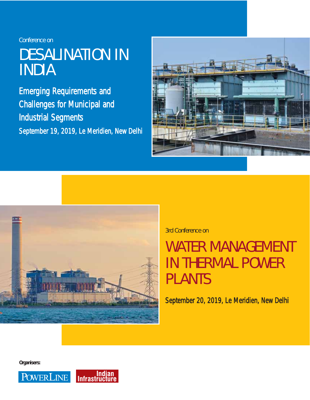Conference on

# DESALINATION IN INDIA

Emerging Requirements and Challenges for Municipal and Industrial Segments September 19, 2019, Le Meridien, New Delhi





3rd Conference on

# WATER MANAGEMENT IN THERMAL POWER PLANTS

September 20, 2019, Le Meridien, New Delhi

*Organisers:*

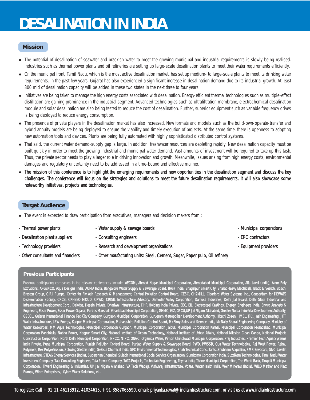# **DESALINATION IN INDIA**

## **Mission**

- The potential of desalination of seawater and brackish water to meet the growing municipal and industrial requirements is slowly being realised. Industries such as thermal power plants and oil refineries are setting up large-scale desalination plants to meet their water requirements efficiently.
- On the municipal front, Tamil Nadu, which is the most active desalination market, has set up medium- to large-scale plants to meet its drinking water requirements. In the past few years, Gujarat has also experienced a significant increase in desalination demand due to its industrial growth. At least 800 mld of desalination capacity will be added in these two states in the next three to four years.
- Initiatives are being taken to manage the high energy costs associated with desalination. Energy-efficient thermal technologies such as multiple-effect distillation are gaining prominence in the industrial segment. Advanced technologies such as ultrafiltration membrane, electrochemical desalination module and solar desalination are also being tested to reduce the cost of desalination. Further, superior equipment such as variable frequency drives is being deployed to reduce energy consumption.
- The presence of private players in the desalination market has also increased. New formats and models such as the build-own-operate-transfer and hybrid annuity models are being deployed to ensure the viability and timely execution of projects. At the same time, there is openness to adopting new automation tools and devices. Plants are being fully automated with highly sophisticated distributed control systems.
- That said, the current water demand-supply gap is large. In addition, freshwater resources are depleting rapidly. New desalination capacity must be built quickly in order to meet the growing industrial and municipal water demand. Vast amounts of investment will be required to take up this task. Thus, the private sector needs to play a larger role in driving innovation and growth. Meanwhile, issues arising from high energy costs, environmental damages and regulatory uncertainty need to be addressed in a time-bound and effective manner.
- <sup>z</sup> The mission of this conference is to highlight the emerging requirements and new opportunities in the desalination segment and discuss the key challenges. The conference will focus on the strategies and solutions to meet the future desalination requirements. It will also showcase some noteworthy initiatives, projects and technologies.

## **Target Audience**

- The event is expected to draw participation from executives, managers and decision makers from :
- 
- Thermal power plants Water supply & sewage boards Municipal corporations Municipal corporations
- Desalination plant suppliers Consulting engineers Consulting engineers EPC contractors
- 
- 
- 
- Technology providers - Research and development organisations - - - - - - Equipment providers
- Other consultants and financiers Other maufacturing units: Steel, Cement, Sugar, Paper pulp, Oil refinery

## *Previous Participants*

*Previous participating companies in the relevant conferences include: AECOM, Ahmad Nagar Municipal Corporation, Ahmedabad Municipal Corporation, Alfa Laval (India), Alom Poly Extrusions, APGENCO, Aqua Designs India, AUMA India, Bangalore Water Supply & Sewerage Board, BASF India, Bhagalpur Smart City, Bharat Heavy Electricals, Black & Veatch, Bosch, Brasten Group, C.R.I Pumps, Center for Fly Ash Research & Management, Central Pollution Control Board, CESC, CH2MILL, Clearford Water Systems Inc., Consortium for DEWATS Dissemination Society, CPCB, CPHEEO MOUD, CPWD, CRISIL Infrastructure Advisory, Damodar Valley Corporation, Danfoss Industries, Delhi Jal Board, Delhi State Industrial and Infrastructure Development Corp., Deloitte, Desein Private, Dhariwal Infrastructure, DHR Holding India Private, EEC, EIL, Electrosteel Castings, Energy, Engineers India, Enviro Analysts & Engineers, Essar Power, Essar Power Gujarat, Forbes Marshall, Ghaziabad Municipal Corporation, GHMC, GIZ, GPCU,UP Jal Nigam Allahabad, Greater Noida Industrial Development Authority, GSECL, Gujarat International Finance Tec-City Company, Gurgaon Municipal Corporation, Gurugram Metropolitan Development Authority, Hitachi Zosen, HMEL, IFC, Jash Engineering, JITF Water Infrastructure, JSW Energy, Kanpur Municipal Corporation, Maharashtra Pollution Control Board, McElroy Sales and Service India, McNally Bharat Engineering Company, Ministry of Water Resources, MM Aqua Technologies, Municipal Corporation Gurgaon, Municipal Corporation Jaipur, Municipal Corporation Karnal, Municipal Corporation Moradabad, Municipal Corporation Panchkula, Nabha Power, Nagpur Smart City, National Institute of Ocean Technology, National Institute of Urban Affairs, National Mission Clean Ganga, National Projects Construction Corporation, North Delhi Municipal Corporation, NPCC, NTPC, ONGC, Organica Water, Pimpri Chinchwad Municipal Corporation, Praj Industries, Premier Tech Aqua Systems India Private, Pune Municipal Corporation, Punjab Pollution Control Board, Punjab Water Supply & Sewarage Board, PWD, PWSSB, Qua Water Technologies, Raj West Power, Rehau Polymers, Rex Polyextrusion, Schwing Stetter(India), Sekisui Chemical India, SFC Environmental Technologies, Shah Technical Consultants, Shubham Acqualink, SMS Envocare, SNC-Lavalin Infrastructure, STEAG Energy Services (India), Sudarshan Chemical, Sulabh International Social Service Organisation, Sumitomo Corporation India, Suzalkem Technologies, Tamil Nadu Water Investment Company, Tata Consulting Engineers, Tata Power Company, TATA Projects, Technofab Engineering, Teyma India, Thane Municipal Corporation, The World Bank, Tirupati Municipal Corporation,, Triveni Engineering & Industries, UP Jal Nigam Allahabad, VA Tech Wabag, Vishvaraj Infrastructure, Voltas, WaterHealth India, Weir Minerals (India), WILO Mather and Platt Pumps, Wipro Enterprises, Xylem Water Solutions, etc.*

- 
- 
-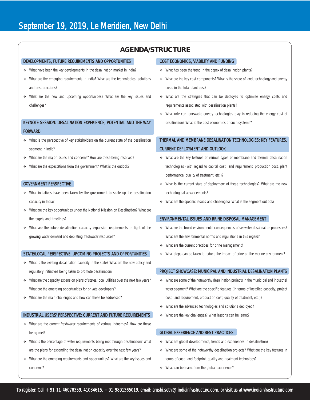## **AGENDA/STRUCTURE**

#### DEVELOPMENTS, FUTURE REQUIREMENTS AND OPPORTUNITIES

- \* What have been the key developments in the desalination market in India?
- \* What are the emerging requirements in India? What are the technologies, solutions and best practices?
- What are the new and upcoming opportunities? What are the key issues and challenges?

## KEYNOTE SESSION: DESALINATION EXPERIENCE, POTENTIAL AND THE WAY FORWARD

- What is the perspective of key stakeholders on the current state of the desalination segment in India?
- What are the major issues and concerns? How are these being resolved?
- What are the expectations from the government? What is the outlook?

#### GOVERNMENT PERSPECTIVE

- What initiatives have been taken by the government to scale up the desalination capacity in India?
- What are the key opportunities under the National Mission on Desalination? What are the targets and timelines?
- What are the future desalination capacity expansion requirements in light of the growing water demand and depleting freshwater resources?

#### STATE/LOCAL PERSPECTIVE: UPCOMING PROJECTS AND OPPORTUNITIES

- What is the existing desalination capacity in the state? What are the new policy and regulatory initiatives being taken to promote desalination?
- \* What are the capacity expansion plans of states/local utilities over the next few years? What are the emerging opportunities for private developers?
- \* What are the main challenges and how can these be addressed?

## INDUSTRIAL USERS' PERSPECTIVE: CURRENT AND FUTURE REQUIREMENTS

- \* What are the current freshwater requirements of various industries? How are these being met?
- \* What is the percentage of water requirements being met through desalination? What are the plans for expanding the desalination capacity over the next few years?
- What are the emerging requirements and opportunities? What are the key issues and concerns?

#### COST ECONOMICS, VIABILITY AND FUNDING

- ◆ What has been the trend in the capex of desalination plants?
- \* What are the key cost components? What is the share of land, technology and energy costs in the total plant cost?
- What are the strategies that can be deployed to optimise energy costs and requirements associated with desalination plants?
- What role can renewable energy technologies play in reducing the energy cost of desalination? What is the cost economics of such systems?

## THERMAL AND MEMBRANE DESALINATION TECHNOLOGIES: KEY FEATURES, CURRENT DEPLOYMENT AND OUTLOOK

- What are the key features of various types of membrane and thermal desalination technologies (with regard to capital cost, land requirement, production cost, plant performance, quality of treatment, etc.)?
- What is the current state of deployment of these technologies? What are the new technological advancements?
- \* What are the specific issues and challenges? What is the segment outlook?

#### ENVIRONMENTAL ISSUES AND BRINE DISPOSAL MANAGEMENT

- What are the broad environmental consequences of seawater desalination processes? What are the environmental norms and regulations in this regard?
- \* What are the current practices for brine management?
- What steps can be taken to reduce the impact of brine on the marine environment?

## PROJECT SHOWCASE: MUNICIPAL AND INDUSTRIAL DESALINATION PLANTS

- What are some of the noteworthy desalination projects in the municipal and industrial water segment? What are the specific features (in terms of installed capacity, project cost, land requirement, production cost, quality of treatment, etc.)?
- \* What are the advanced technologies and solutions deployed?
- What are the key challenges? What lessons can be learnt?

## GLOBAL EXPERIENCE AND BEST PRACTICES

- \* What are global developments, trends and experiences in desalination?
- What are some of the noteworthy desalination projects? What are the key features in terms of cost, land footprint, quality and treatment technology?
- ◆ What can be learnt from the global experience?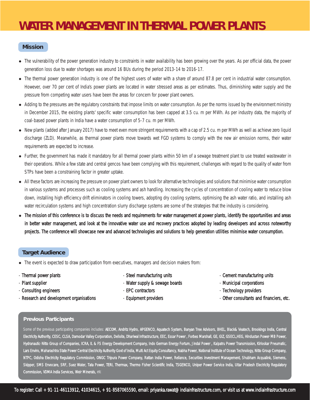## **WATER MANAGEMENT IN THERMAL POWER PLANTS**

## **Mission**

- The vulnerability of the power generation industry to constraints in water availability has been growing over the years. As per official data, the power generation loss due to water shortages was around 16 BUs during the period 2013-14 to 2016-17.
- The thermal power generation industry is one of the highest users of water with a share of around 87.8 per cent in industrial water consumption. However, over 70 per cent of India's power plants are located in water stressed areas as per estimates. Thus, diminishing water supply and the pressure from competing water users have been the areas for concern for power plant owners.
- Adding to the pressures are the regulatory constraints that impose limits on water consumption. As per the norms issued by the environment ministry in December 2015, the existing plants' specific water consumption has been capped at 3.5 cu. m per MWh. As per industry data, the majority of coal-based power plants in India have a water consumption of 5-7 cu. m per MWh.
- New plants (added after January 2017) have to meet even more stringent requirements with a cap of 2.5 cu. m per MWh as well as achieve zero liquid discharge (ZLD). Meanwhile, as thermal power plants move towards wet FGD systems to comply with the new air emission norms, their water requirements are expected to increase.
- Further, the government has made it mandatory for all thermal power plants within 50 km of a sewage treatment plant to use treated wastewater in their operations. While a few state and central gencos have been complying with this requirement, challenges with regard to the quality of water from STPs have been a constraining factor in greater uptake.
- All these factors are increasing the pressure on power plant owners to look for alternative technologies and solutions that minimise water consumption in various systems and processes such as cooling systems and ash handling. Increasing the cycles of concentration of cooling water to reduce blow down, installing high efficiency drift eliminators in cooling towers, adopting dry cooling systems, optimising the ash water ratio, and installing ash water recirculation systems and high concentration slurry discharge systems are some of the strategies that the industry is considering.
- The mission of this conference is to discuss the needs and requirements for water management at power plants, identify the opportunities and areas in better water management, and look at the innovative water use and recovery practices adopted by leading developers and across noteworthy projects. The conference will showcase new and advanced technologies and solutions to help generation utilities minimise water consumption.

## **Target Audience**

- The event is expected to draw participation from executives, managers and decision makers from:
- 
- 
- 
- 
- 
- Plant supplier Mater supply & sewage boards Municipal corporations Municipal corporations
	-
	-
- Thermal power plants and the steel manufacturing units and the cement manufacturing units Cement manufacturing units
	-
- Consulting engineers - Technology providers FPC contractors - - Technology providers -
- Research and development organisations Equipment providers Consultants and financiers, etc.

## *Previous Participants*

Some of the previous participating companies includes: AECOM, Andritz Hydro, APGENCO, Aquatech System, Banyan Tree Advisors, BHEL, Black& Veatech, Brookings India, Central *Electricity Authority, CESC, CLSA, Damodar Valley Corporation, Delloite, Dhariwal Infrastructure, EEC, Essar Power , Forbes Marshall, GE, GIZ, GSECL,HEG, Hindustan Power-MB Power, Hydranautic-Nitto Group of Companies, ICRA, IL & FS Energy Development Company, Indo German Energy Fortum, Jindal Power , Kalpatru Power Transmission, Kirloskar Pneumatic, Lars Enviro, Maharashtra State Power Central Electricity Authority Govt of India, Multi Act Equity Consultancy, Nabha Power, National Institute of Ocean Technology, Nitto Group Company, NTPC, Odisha Electricity Regulatory Commission, ONGC Tripura Power Company, Rattan India Power, Reliance, Securities investment Management, Shubham Acqualink, Siemens, Skipper, SMS Envocare, SRF, Suez Water, Tata Power, TERI, Thermax, Thermo Fisher Scientific India, TSGENCO, Uniper Power Service India, Uttar Pradesh Electricity Regulatory Commission, VDMA India Services, Weir Minerals, etc*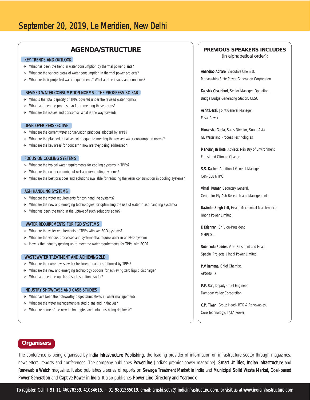## **AGENDA/STRUCTURE**

## KEY TRENDS AND OUTLOOK

- ◆ What has been the trend in water consumption by thermal power plants?
- What are the various areas of water consumption in thermal power projects?
- \* What are their projected water requirements? What are the issues and concerns?

## REVISED WATER CONSUMPTION NORMS -THE PROGRESS SO FAR

- \* What is the total capacity of TPPs covered under the revised water norms?
- What has been the progress so far in meeting these norms?
- What are the issues and concerns? What is the way forward?

#### DEVELOPER PERSPECTIVE

- What are the current water conservation practices adopted by TPPs?
- \* What are the planned initiatives with regard to meeting the revised water consumption norms?
- What are the key areas for concern? How are they being addressed?

#### FOCUS ON COOLING SYSTEMS

- What are the typical water requirements for cooling systems in TPPs?
- ◆ What are the cost economics of wet and dry cooling systems?
- \* What are the best practices and solutions available for reducing the water consumption in cooling systems?

#### ASH HANDLING SYSTEMS

- \* What are the water requirements for ash handling systems?
- \* What are the new and emerging technologies for optimising the use of water in ash handling systems?
- What has been the trend in the uptake of such solutions so far?

#### WATER REQUIREMENTS FOR FGD SYSTEMS

- What are the water requirements of TPPs with wet FGD systems?
- \* What are the various processes and systems that require water in an FGD system?
- \* How is the industry gearing up to meet the water requirements for TPPs with FGD?

## WASTEWATER TREATMENT AND ACHIEVING ZLD

- \* What are the current wastewater treatment practices followed by TPPs?
- \* What are the new and emerging technology options for achieving zero liquid discharge?
- What has been the uptake of such solutions so far?

#### INDUSTRY SHOWCASE AND CASE STUDIES

- \* What have been the noteworthy projects/initiatives in water management?
- \* What are the water management-related plans and initiatives?
- What are some of the new technologies and solutions being deployed?

## **PREVIOUS SPEAKERS INCLUDES**

(in alphabetical order):

Anandrao Abhare, Executive Chemist, Maharashtra State Power Generation Corporation

Kaushik Chaudhuri, Senior Manager, Operation, Budge Budge Generating Station, CESC

Ashit Desai, Joint General Manager, Essar Power

Himanshu Gupta, Sales Director, South Asia, GE Water and Process Technologies

Manoranjan Hota, Advisor, Ministry of Environment, Forest and Climate Change

S.S. Kacker, Additional General Manager, CenPEEP, NTPC

Vimal Kumar, Secretary General, Centre for Fly Ash Research and Management

Ravinder Singh Lall, Head, Mechanical Maintenance, Nabha Power Limited

K Krishnan, Sr. Vice-President, MHPCSL

Subhendu Podder, Vice-President and Head, Special Projects, Jindal Power Limited

P.V Ramana, Chief Chemist, APGENCO

P.P. Sah, Deputy Chief Engineer, Damodar Valley Corporation

C.P. Tiwari, Group Head- BTG & Renewables, Core Technology, TATA Power

## **Organisers**

The conference is being organised by India Infrastructure Publishing, the leading provider of information on infrastructure sector through magazines, newsletters, reports and conferences. The company publishes PowerLine (India's premier power magazine), Smart Utilities, Indian Infrastructure and Renewable Watch magazine. It also publishes a series of reports on Sewage Treatment Market in India and Municipal Solid Waste Market, Coal-based Power Generation and Captive Power in India. It also publishes Power Line Directory and Yearbook.

To register: Call +91-11-46078359, 41034615, +91-9891365019, email: arushi.sethi@indiainfrastructure.com, or visit us at www.indiainfrastructure.com